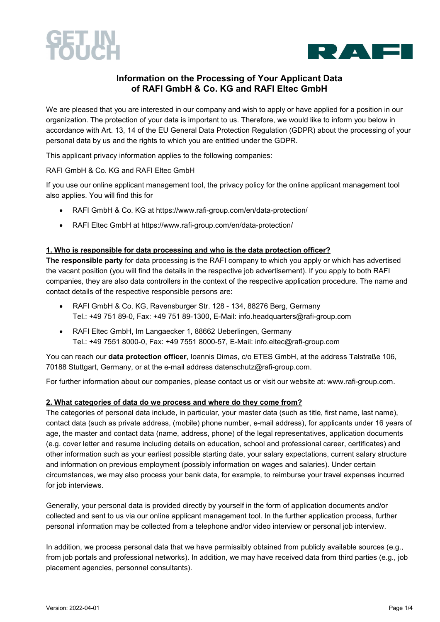



### **Information on the Processing of Your Applicant Data of RAFI GmbH & Co. KG and RAFI Eltec GmbH**

We are pleased that you are interested in our company and wish to apply or have applied for a position in our organization. The protection of your data is important to us. Therefore, we would like to inform you below in accordance with Art. 13, 14 of the EU General Data Protection Regulation (GDPR) about the processing of your personal data by us and the rights to which you are entitled under the GDPR.

This applicant privacy information applies to the following companies:

RAFI GmbH & Co. KG and RAFI Eltec GmbH

If you use our online applicant management tool, the privacy policy for the online applicant management tool also applies. You will find this for

- RAFI GmbH & Co. KG at https://www.rafi-group.com/en/data-protection/
- RAFI Eltec GmbH at https://www.rafi-group.com/en/data-protection/

#### **1. Who is responsible for data processing and who is the data protection officer?**

**The responsible party** for data processing is the RAFI company to which you apply or which has advertised the vacant position (you will find the details in the respective job advertisement). If you apply to both RAFI companies, they are also data controllers in the context of the respective application procedure. The name and contact details of the respective responsible persons are:

- RAFI GmbH & Co. KG, Ravensburger Str. 128 134, 88276 Berg, Germany Tel.: +49 751 89-0, Fax: +49 751 89-1300, E-Mail: info.headquarters@rafi-group.com
- RAFI Eltec GmbH, Im Langaecker 1, 88662 Ueberlingen, Germany Tel.: +49 7551 8000-0, Fax: +49 7551 8000-57, E-Mail: info.eltec@rafi-group.com

You can reach our **data protection officer**, Ioannis Dimas, c/o ETES GmbH, at the address Talstraße 106, 70188 Stuttgart, Germany, or at the e-mail address datenschutz@rafi-group.com.

For further information about our companies, please contact us or visit our website at: www.rafi-group.com.

#### **2. What categories of data do we process and where do they come from?**

The categories of personal data include, in particular, your master data (such as title, first name, last name), contact data (such as private address, (mobile) phone number, e-mail address), for applicants under 16 years of age, the master and contact data (name, address, phone) of the legal representatives, application documents (e.g. cover letter and resume including details on education, school and professional career, certificates) and other information such as your earliest possible starting date, your salary expectations, current salary structure and information on previous employment (possibly information on wages and salaries). Under certain circumstances, we may also process your bank data, for example, to reimburse your travel expenses incurred for job interviews.

Generally, your personal data is provided directly by yourself in the form of application documents and/or collected and sent to us via our online applicant management tool. In the further application process, further personal information may be collected from a telephone and/or video interview or personal job interview.

In addition, we process personal data that we have permissibly obtained from publicly available sources (e.g., from job portals and professional networks). In addition, we may have received data from third parties (e.g., job placement agencies, personnel consultants).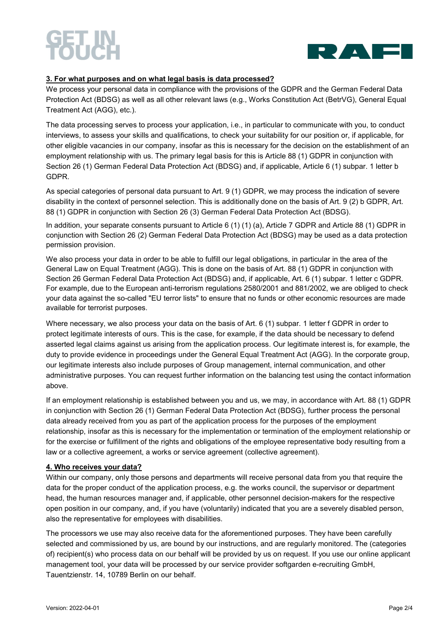# SETTIN<br>Kolikee



#### **3. For what purposes and on what legal basis is data processed?**

We process your personal data in compliance with the provisions of the GDPR and the German Federal Data Protection Act (BDSG) as well as all other relevant laws (e.g., Works Constitution Act (BetrVG), General Equal Treatment Act (AGG), etc.).

The data processing serves to process your application, i.e., in particular to communicate with you, to conduct interviews, to assess your skills and qualifications, to check your suitability for our position or, if applicable, for other eligible vacancies in our company, insofar as this is necessary for the decision on the establishment of an employment relationship with us. The primary legal basis for this is Article 88 (1) GDPR in conjunction with Section 26 (1) German Federal Data Protection Act (BDSG) and, if applicable, Article 6 (1) subpar. 1 letter b GDPR.

As special categories of personal data pursuant to Art. 9 (1) GDPR, we may process the indication of severe disability in the context of personnel selection. This is additionally done on the basis of Art. 9 (2) b GDPR, Art. 88 (1) GDPR in conjunction with Section 26 (3) German Federal Data Protection Act (BDSG).

In addition, your separate consents pursuant to Article 6 (1) (1) (a), Article 7 GDPR and Article 88 (1) GDPR in conjunction with Section 26 (2) German Federal Data Protection Act (BDSG) may be used as a data protection permission provision.

We also process your data in order to be able to fulfill our legal obligations, in particular in the area of the General Law on Equal Treatment (AGG). This is done on the basis of Art. 88 (1) GDPR in conjunction with Section 26 German Federal Data Protection Act (BDSG) and, if applicable, Art. 6 (1) subpar. 1 letter c GDPR. For example, due to the European anti-terrorism regulations 2580/2001 and 881/2002, we are obliged to check your data against the so-called "EU terror lists" to ensure that no funds or other economic resources are made available for terrorist purposes.

Where necessary, we also process your data on the basis of Art. 6 (1) subpar. 1 letter f GDPR in order to protect legitimate interests of ours. This is the case, for example, if the data should be necessary to defend asserted legal claims against us arising from the application process. Our legitimate interest is, for example, the duty to provide evidence in proceedings under the General Equal Treatment Act (AGG). In the corporate group, our legitimate interests also include purposes of Group management, internal communication, and other administrative purposes. You can request further information on the balancing test using the contact information above.

If an employment relationship is established between you and us, we may, in accordance with Art. 88 (1) GDPR in conjunction with Section 26 (1) German Federal Data Protection Act (BDSG), further process the personal data already received from you as part of the application process for the purposes of the employment relationship, insofar as this is necessary for the implementation or termination of the employment relationship or for the exercise or fulfillment of the rights and obligations of the employee representative body resulting from a law or a collective agreement, a works or service agreement (collective agreement).

#### **4. Who receives your data?**

Within our company, only those persons and departments will receive personal data from you that require the data for the proper conduct of the application process, e.g. the works council, the supervisor or department head, the human resources manager and, if applicable, other personnel decision-makers for the respective open position in our company, and, if you have (voluntarily) indicated that you are a severely disabled person, also the representative for employees with disabilities.

The processors we use may also receive data for the aforementioned purposes. They have been carefully selected and commissioned by us, are bound by our instructions, and are regularly monitored. The (categories of) recipient(s) who process data on our behalf will be provided by us on request. If you use our online applicant management tool, your data will be processed by our service provider softgarden e-recruiting GmbH, Tauentzienstr. 14, 10789 Berlin on our behalf.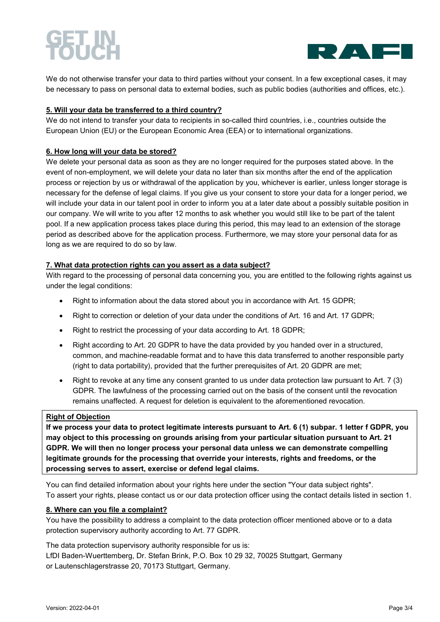# 7517



We do not otherwise transfer your data to third parties without your consent. In a few exceptional cases, it may be necessary to pass on personal data to external bodies, such as public bodies (authorities and offices, etc.).

#### **5. Will your data be transferred to a third country?**

We do not intend to transfer your data to recipients in so-called third countries, i.e., countries outside the European Union (EU) or the European Economic Area (EEA) or to international organizations.

#### **6. How long will your data be stored?**

We delete your personal data as soon as they are no longer required for the purposes stated above. In the event of non-employment, we will delete your data no later than six months after the end of the application process or rejection by us or withdrawal of the application by you, whichever is earlier, unless longer storage is necessary for the defense of legal claims. If you give us your consent to store your data for a longer period, we will include your data in our talent pool in order to inform you at a later date about a possibly suitable position in our company. We will write to you after 12 months to ask whether you would still like to be part of the talent pool. If a new application process takes place during this period, this may lead to an extension of the storage period as described above for the application process. Furthermore, we may store your personal data for as long as we are required to do so by law.

#### **7. What data protection rights can you assert as a data subject?**

With regard to the processing of personal data concerning you, you are entitled to the following rights against us under the legal conditions:

- Right to information about the data stored about you in accordance with Art. 15 GDPR;
- Right to correction or deletion of your data under the conditions of Art. 16 and Art. 17 GDPR;
- Right to restrict the processing of your data according to Art. 18 GDPR;
- Right according to Art. 20 GDPR to have the data provided by you handed over in a structured, common, and machine-readable format and to have this data transferred to another responsible party (right to data portability), provided that the further prerequisites of Art. 20 GDPR are met;
- Right to revoke at any time any consent granted to us under data protection law pursuant to Art. 7 (3) GDPR. The lawfulness of the processing carried out on the basis of the consent until the revocation remains unaffected. A request for deletion is equivalent to the aforementioned revocation.

#### **Right of Objection**

**If we process your data to protect legitimate interests pursuant to Art. 6 (1) subpar. 1 letter f GDPR, you may object to this processing on grounds arising from your particular situation pursuant to Art. 21 GDPR. We will then no longer process your personal data unless we can demonstrate compelling legitimate grounds for the processing that override your interests, rights and freedoms, or the processing serves to assert, exercise or defend legal claims.**

You can find detailed information about your rights here under the section "Your data subject rights". To assert your rights, please contact us or our data protection officer using the contact details listed in section 1.

#### **8. Where can you file a complaint?**

You have the possibility to address a complaint to the data protection officer mentioned above or to a data protection supervisory authority according to Art. 77 GDPR.

The data protection supervisory authority responsible for us is:

LfDI Baden-Wuerttemberg, Dr. Stefan Brink, P.O. Box 10 29 32, 70025 Stuttgart, Germany or Lautenschlagerstrasse 20, 70173 Stuttgart, Germany.